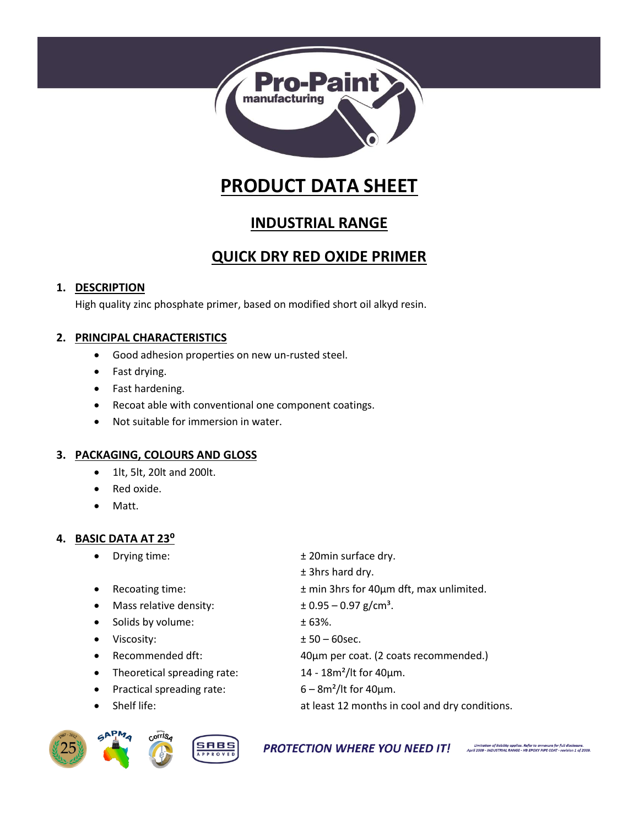

# **PRODUCT DATA SHEET**

## **INDUSTRIAL RANGE**

# **QUICK DRY RED OXIDE PRIMER**

### **1. DESCRIPTION**

High quality zinc phosphate primer, based on modified short oil alkyd resin.

### **2. PRINCIPAL CHARACTERISTICS**

- Good adhesion properties on new un-rusted steel.
- Fast drying.
- Fast hardening.
- Recoat able with conventional one component coatings.
- Not suitable for immersion in water.

#### **3. PACKAGING, COLOURS AND GLOSS**

- 1lt, 5lt, 20lt and 200lt.
- Red oxide.
- Matt.

#### **4. BASIC DATA AT 23⁰**

- Drying time:  $\qquad \qquad \pm 20$ min surface dry.
- Recoating time:  $± min$  3hrs for 40μm dft, max unlimited.
- Mass relative density:  $\pm 0.95 0.97$  g/cm<sup>3</sup>.
- Solids by volume: ± 63%.
- Viscosity: ± 50 60sec.
- Recommended dft: 40µm per coat. (2 coats recommended.)
- Theoretical spreading rate: 14 18m²/lt for 40µm.
- Practical spreading rate:  $6 8m^2/lt$  for  $40\mu m$ .
- Shelf life: at least 12 months in cool and dry conditions.



**PROTECTION WHERE YOU NEED IT!** April 2009 - MOUSTRIAL RANGE - HB EPOXY PIPE COAT - revision 1 of 2009

± 3hrs hard dry.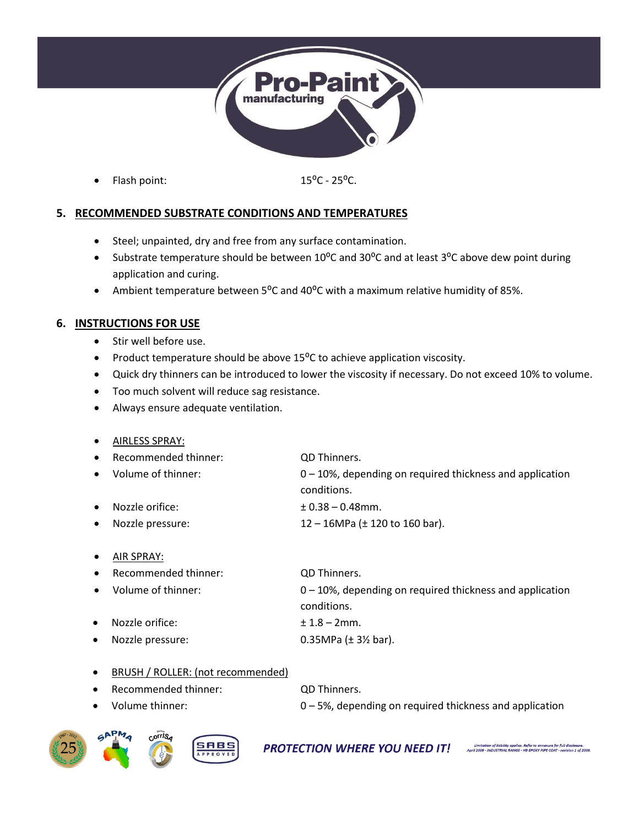

Flash point:  $15^{\circ}$ C -  $25^{\circ}$ C.

### **5. RECOMMENDED SUBSTRATE CONDITIONS AND TEMPERATURES**

- Steel; unpainted, dry and free from any surface contamination.
- Substrate temperature should be between 10<sup>o</sup>C and 30<sup>o</sup>C and at least 3<sup>o</sup>C above dew point during application and curing.
- Ambient temperature between  $5^{\circ}$ C and 40 $^{\circ}$ C with a maximum relative humidity of 85%.

#### **6. INSTRUCTIONS FOR USE**

- Stir well before use.
- Product temperature should be above  $15^{\circ}$ C to achieve application viscosity.
- Quick dry thinners can be introduced to lower the viscosity if necessary. Do not exceed 10% to volume.
- Too much solvent will reduce sag resistance.
- Always ensure adequate ventilation.

#### • AIRLESS SPRAY:

| $\bullet$ | Recommended thinner: | QD Thinners.                                                |
|-----------|----------------------|-------------------------------------------------------------|
| $\bullet$ | Volume of thinner:   | $0 - 10$ %, depending on required thickness and application |
|           |                      | conditions.                                                 |
| $\bullet$ | Nozzle orifice:      | $± 0.38 - 0.48$ mm.                                         |
| $\bullet$ | Nozzle pressure:     | 12 – 16MPa ( $\pm$ 120 to 160 bar).                         |

• AIR SPRAY:

- QD Thinners. Volume of thinner:  $0 - 10\%$ , depending on required thickness and application conditions. • Nozzle orifice: ± 1.8 – 2mm. • Nozzle pressure: 0.35MPa (± 3½ bar).
- BRUSH / ROLLER: (not recommended)
- Recommended thinner: QD Thinners. Volume thinner:  $0 - 5%$ , depending on required thickness and application



#### **PROTECTION WHERE YOU NEED IT!** April 2009 - MOUSTRIAL RANGE - HB EPOXY PIPE COAT - revision 1 of 2009